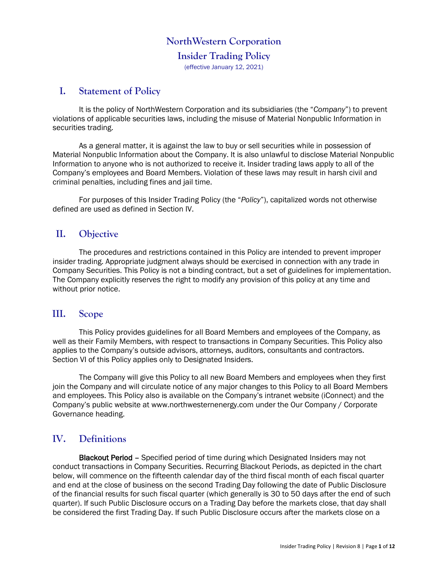## **NorthWestern Corporation**

# **Insider Trading Policy**

(effective January 12, 2021)

# **I. Statement of Policy**

It is the policy of NorthWestern Corporation and its subsidiaries (the "*Company*") to prevent violations of applicable securities laws, including the misuse of Material Nonpublic Information in securities trading.

As a general matter, it is against the law to buy or sell securities while in possession of Material Nonpublic Information about the Company. It is also unlawful to disclose Material Nonpublic Information to anyone who is not authorized to receive it. Insider trading laws apply to all of the Company's employees and Board Members. Violation of these laws may result in harsh civil and criminal penalties, including fines and jail time.

For purposes of this Insider Trading Policy (the "*Policy*"), capitalized words not otherwise defined are used as defined in Section IV.

# **II. Objective**

The procedures and restrictions contained in this Policy are intended to prevent improper insider trading. Appropriate judgment always should be exercised in connection with any trade in Company Securities. This Policy is not a binding contract, but a set of guidelines for implementation. The Company explicitly reserves the right to modify any provision of this policy at any time and without prior notice.

## **III. Scope**

This Policy provides guidelines for all Board Members and employees of the Company, as well as their Family Members, with respect to transactions in Company Securities. This Policy also applies to the Company's outside advisors, attorneys, auditors, consultants and contractors. Section VI of this Policy applies only to Designated Insiders.

The Company will give this Policy to all new Board Members and employees when they first join the Company and will circulate notice of any major changes to this Policy to all Board Members and employees. This Policy also is available on the Company's intranet website (iConnect) and the Company's public website at www.northwesternenergy.com under the Our Company / Corporate Governance heading.

# **IV. Definitions**

Blackout Period – Specified period of time during which Designated Insiders may not conduct transactions in Company Securities. Recurring Blackout Periods, as depicted in the chart below, will commence on the fifteenth calendar day of the third fiscal month of each fiscal quarter and end at the close of business on the second Trading Day following the date of Public Disclosure of the financial results for such fiscal quarter (which generally is 30 to 50 days after the end of such quarter). If such Public Disclosure occurs on a Trading Day before the markets close, that day shall be considered the first Trading Day. If such Public Disclosure occurs after the markets close on a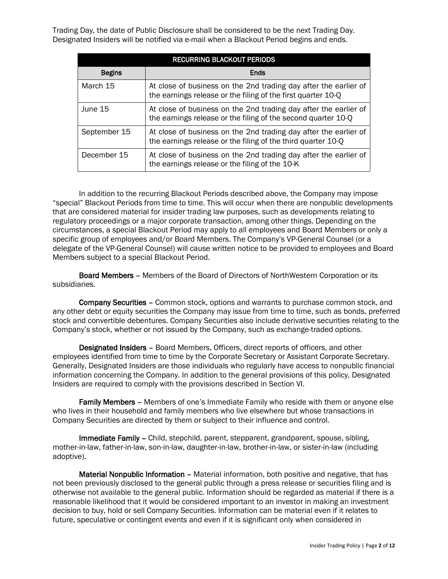Trading Day, the date of Public Disclosure shall be considered to be the next Trading Day. Designated Insiders will be notified via e-mail when a Blackout Period begins and ends.

|               | <b>RECURRING BLACKOUT PERIODS</b>                                                                                                 |
|---------------|-----------------------------------------------------------------------------------------------------------------------------------|
| <b>Begins</b> | Ends                                                                                                                              |
| March 15      | At close of business on the 2nd trading day after the earlier of<br>the earnings release or the filing of the first quarter 10-Q  |
| June 15       | At close of business on the 2nd trading day after the earlier of<br>the earnings release or the filing of the second quarter 10-Q |
| September 15  | At close of business on the 2nd trading day after the earlier of<br>the earnings release or the filing of the third quarter 10-Q  |
| December 15   | At close of business on the 2nd trading day after the earlier of<br>the earnings release or the filing of the 10-K                |

In addition to the recurring Blackout Periods described above, the Company may impose "special" Blackout Periods from time to time. This will occur when there are nonpublic developments that are considered material for insider trading law purposes, such as developments relating to regulatory proceedings or a major corporate transaction, among other things. Depending on the circumstances, a special Blackout Period may apply to all employees and Board Members or only a specific group of employees and/or Board Members. The Company's VP-General Counsel (or a delegate of the VP-General Counsel) will cause written notice to be provided to employees and Board Members subject to a special Blackout Period.

Board Members – Members of the Board of Directors of NorthWestern Corporation or its subsidiaries.

Company Securities – Common stock, options and warrants to purchase common stock, and any other debt or equity securities the Company may issue from time to time, such as bonds, preferred stock and convertible debentures. Company Securities also include derivative securities relating to the Company's stock, whether or not issued by the Company, such as exchange-traded options.

Designated Insiders – Board Members, Officers, direct reports of officers, and other employees identified from time to time by the Corporate Secretary or Assistant Corporate Secretary. Generally, Designated Insiders are those individuals who regularly have access to nonpublic financial information concerning the Company. In addition to the general provisions of this policy, Designated Insiders are required to comply with the provisions described in Section [VI.](#page-3-0)

Family Members - Members of one's Immediate Family who reside with them or anyone else who lives in their household and family members who live elsewhere but whose transactions in Company Securities are directed by them or subject to their influence and control.

Immediate Family – Child, stepchild, parent, stepparent, grandparent, spouse, sibling, mother-in-law, father-in-law, son-in-law, daughter-in-law, brother-in-law, or sister-in-law (including adoptive).

Material Nonpublic Information – Material information, both positive and negative, that has not been previously disclosed to the general public through a press release or securities filing and is otherwise not available to the general public. Information should be regarded as material if there is a reasonable likelihood that it would be considered important to an investor in making an investment decision to buy, hold or sell Company Securities. Information can be material even if it relates to future, speculative or contingent events and even if it is significant only when considered in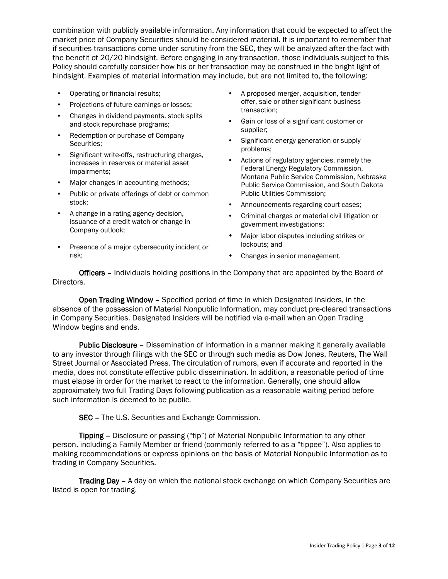combination with publicly available information. Any information that could be expected to affect the market price of Company Securities should be considered material. It is important to remember that if securities transactions come under scrutiny from the SEC, they will be analyzed after-the-fact with the benefit of 20/20 hindsight. Before engaging in any transaction, those individuals subject to this Policy should carefully consider how his or her transaction may be construed in the bright light of hindsight. Examples of material information may include, but are not limited to, the following:

- Operating or financial results;
- Projections of future earnings or losses;
- Changes in dividend payments, stock splits and stock repurchase programs;
- Redemption or purchase of Company Securities;
- Significant write-offs, restructuring charges, increases in reserves or material asset impairments;
- Major changes in accounting methods;
- Public or private offerings of debt or common stock;
- A change in a rating agency decision, issuance of a credit watch or change in Company outlook;
- Presence of a major cybersecurity incident or risk;
- A proposed merger, acquisition, tender offer, sale or other significant business transaction;
- Gain or loss of a significant customer or supplier;
- Significant energy generation or supply problems;
- Actions of regulatory agencies, namely the Federal Energy Regulatory Commission, Montana Public Service Commission, Nebraska Public Service Commission, and South Dakota Public Utilities Commission;
- Announcements regarding court cases;
- Criminal charges or material civil litigation or government investigations;
- Major labor disputes including strikes or lockouts; and
- Changes in senior management.

Officers – Individuals holding positions in the Company that are appointed by the Board of Directors.

Open Trading Window – Specified period of time in which Designated Insiders, in the absence of the possession of Material Nonpublic Information, may conduct pre-cleared transactions in Company Securities. Designated Insiders will be notified via e-mail when an Open Trading Window begins and ends.

Public Disclosure – Dissemination of information in a manner making it generally available to any investor through filings with the SEC or through such media as Dow Jones, Reuters, The Wall Street Journal or Associated Press. The circulation of rumors, even if accurate and reported in the media, does not constitute effective public dissemination. In addition, a reasonable period of time must elapse in order for the market to react to the information. Generally, one should allow approximately two full Trading Days following publication as a reasonable waiting period before such information is deemed to be public.

SEC – The U.S. Securities and Exchange Commission.

Tipping – Disclosure or passing ("tip") of Material Nonpublic Information to any other person, including a Family Member or friend (commonly referred to as a "tippee"). Also applies to making recommendations or express opinions on the basis of Material Nonpublic Information as to trading in Company Securities.

**Trading Day –** A day on which the national stock exchange on which Company Securities are listed is open for trading.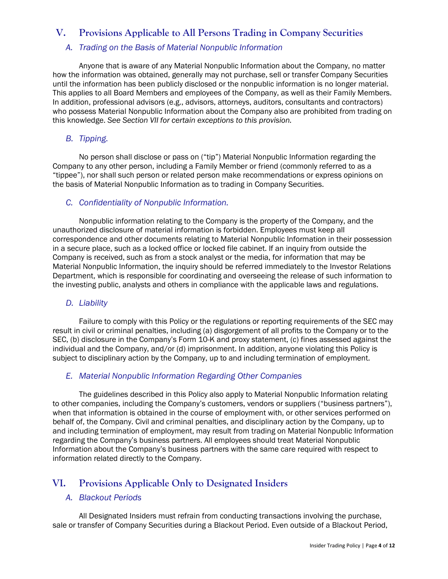# **V. Provisions Applicable to All Persons Trading in Company Securities**

## *A. Trading on the Basis of Material Nonpublic Information*

Anyone that is aware of any Material Nonpublic Information about the Company, no matter how the information was obtained, generally may not purchase, sell or transfer Company Securities until the information has been publicly disclosed or the nonpublic information is no longer material. This applies to all Board Members and employees of the Company, as well as their Family Members. In addition, professional advisors (e.g., advisors, attorneys, auditors, consultants and contractors) who possess Material Nonpublic Information about the Company also are prohibited from trading on this knowledge. *See Section VII for certain exceptions to this provision.*

## *B. Tipping.*

No person shall disclose or pass on ("tip") Material Nonpublic Information regarding the Company to any other person, including a Family Member or friend (commonly referred to as a "tippee"), nor shall such person or related person make recommendations or express opinions on the basis of Material Nonpublic Information as to trading in Company Securities.

## *C. Confidentiality of Nonpublic Information.*

Nonpublic information relating to the Company is the property of the Company, and the unauthorized disclosure of material information is forbidden. Employees must keep all correspondence and other documents relating to Material Nonpublic Information in their possession in a secure place, such as a locked office or locked file cabinet. If an inquiry from outside the Company is received, such as from a stock analyst or the media, for information that may be Material Nonpublic Information, the inquiry should be referred immediately to the Investor Relations Department, which is responsible for coordinating and overseeing the release of such information to the investing public, analysts and others in compliance with the applicable laws and regulations.

## *D. Liability*

Failure to comply with this Policy or the regulations or reporting requirements of the SEC may result in civil or criminal penalties, including (a) disgorgement of all profits to the Company or to the SEC, (b) disclosure in the Company's Form 10-K and proxy statement, (c) fines assessed against the individual and the Company, and/or (d) imprisonment. In addition, anyone violating this Policy is subject to disciplinary action by the Company, up to and including termination of employment.

## *E. Material Nonpublic Information Regarding Other Companies*

The guidelines described in this Policy also apply to Material Nonpublic Information relating to other companies, including the Company's customers, vendors or suppliers ("business partners"), when that information is obtained in the course of employment with, or other services performed on behalf of, the Company. Civil and criminal penalties, and disciplinary action by the Company, up to and including termination of employment, may result from trading on Material Nonpublic Information regarding the Company's business partners. All employees should treat Material Nonpublic Information about the Company's business partners with the same care required with respect to information related directly to the Company.

# <span id="page-3-0"></span>**VI. Provisions Applicable Only to Designated Insiders**

## *A. Blackout Periods*

All Designated Insiders must refrain from conducting transactions involving the purchase, sale or transfer of Company Securities during a Blackout Period. Even outside of a Blackout Period,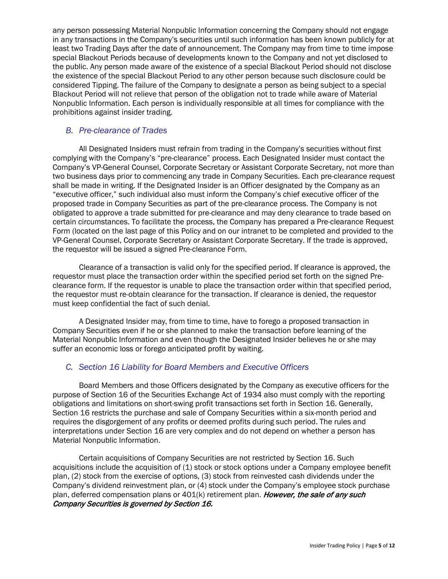any person possessing Material Nonpublic Information concerning the Company should not engage in any transactions in the Company's securities until such information has been known publicly for at least two Trading Days after the date of announcement. The Company may from time to time impose special Blackout Periods because of developments known to the Company and not yet disclosed to the public. Any person made aware of the existence of a special Blackout Period should not disclose the existence of the special Blackout Period to any other person because such disclosure could be considered Tipping. The failure of the Company to designate a person as being subject to a special Blackout Period will not relieve that person of the obligation not to trade while aware of Material Nonpublic Information. Each person is individually responsible at all times for compliance with the prohibitions against insider trading.

#### *B. Pre-clearance of Trades*

All Designated Insiders must refrain from trading in the Company's securities without first complying with the Company's "pre-clearance" process. Each Designated Insider must contact the Company's VP-General Counsel, Corporate Secretary or Assistant Corporate Secretary, not more than two business days prior to commencing any trade in Company Securities. Each pre-clearance request shall be made in writing. If the Designated Insider is an Officer designated by the Company as an "executive officer," such individual also must inform the Company's chief executive officer of the proposed trade in Company Securities as part of the pre-clearance process. The Company is not obligated to approve a trade submitted for pre-clearance and may deny clearance to trade based on certain circumstances. To facilitate the process, the Company has prepared a Pre-clearance Request Form (located on the last page of this Policy and on our intranet to be completed and provided to the VP-General Counsel, Corporate Secretary or Assistant Corporate Secretary. If the trade is approved, the requestor will be issued a signed Pre-clearance Form.

Clearance of a transaction is valid only for the specified period. If clearance is approved, the requestor must place the transaction order within the specified period set forth on the signed Preclearance form. If the requestor is unable to place the transaction order within that specified period, the requestor must re-obtain clearance for the transaction. If clearance is denied, the requestor must keep confidential the fact of such denial.

A Designated Insider may, from time to time, have to forego a proposed transaction in Company Securities even if he or she planned to make the transaction before learning of the Material Nonpublic Information and even though the Designated Insider believes he or she may suffer an economic loss or forego anticipated profit by waiting.

## *C. Section 16 Liability for Board Members and Executive Officers*

Board Members and those Officers designated by the Company as executive officers for the purpose of Section 16 of the Securities Exchange Act of 1934 also must comply with the reporting obligations and limitations on short-swing profit transactions set forth in Section 16. Generally, Section 16 restricts the purchase and sale of Company Securities within a six-month period and requires the disgorgement of any profits or deemed profits during such period. The rules and interpretations under Section 16 are very complex and do not depend on whether a person has Material Nonpublic Information.

Certain acquisitions of Company Securities are not restricted by Section 16. Such acquisitions include the acquisition of (1) stock or stock options under a Company employee benefit plan, (2) stock from the exercise of options, (3) stock from reinvested cash dividends under the Company's dividend reinvestment plan, or (4) stock under the Company's employee stock purchase plan, deferred compensation plans or  $401(k)$  retirement plan. *However, the sale of any such* Company Securities is governed by Section 16.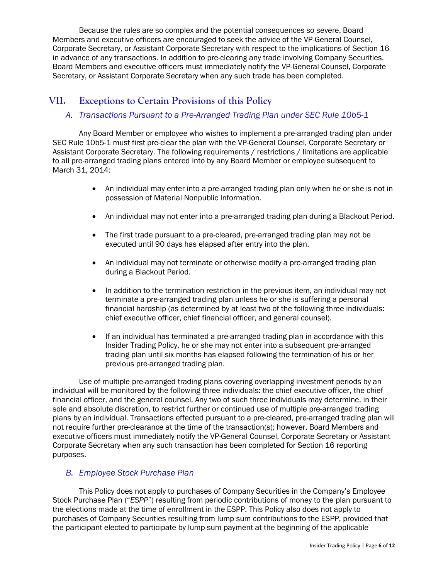Because the rules are so complex and the potential consequences so severe, Board Members and executive officers are encouraged to seek the advice of the VP-General Counsel, Corporate Secretary, or Assistant Corporate Secretary with respect to the implications of Section 16 in advance of any transactions. In addition to pre-clearing any trade involving Company Securities, Board Members and executive officers must immediately notify the VP-General Counsel, Corporate Secretary, or Assistant Corporate Secretary when any such trade has been completed.

# **VII. Exceptions to Certain Provisions of this Policy**

## *A. Transactions Pursuant to a Pre-Arranged Trading Plan under SEC Rule 10b5-1*

Any Board Member or employee who wishes to implement a pre-arranged trading plan under SEC Rule 10b5-1 must first pre-clear the plan with the VP-General Counsel, Corporate Secretary or Assistant Corporate Secretary. The following requirements / restrictions / limitations are applicable to all pre-arranged trading plans entered into by any Board Member or employee subsequent to March 31, 2014:

- An individual may enter into a pre-arranged trading plan only when he or she is not in possession of Material Nonpublic Information.
- An individual may not enter into a pre-arranged trading plan during a Blackout Period.
- The first trade pursuant to a pre-cleared, pre-arranged trading plan may not be executed until 90 days has elapsed after entry into the plan.
- An individual may not terminate or otherwise modify a pre-arranged trading plan during a Blackout Period.
- In addition to the termination restriction in the previous item, an individual may not terminate a pre-arranged trading plan unless he or she is suffering a personal financial hardship (as determined by at least two of the following three individuals: chief executive officer, chief financial officer, and general counsel).
- If an individual has terminated a pre-arranged trading plan in accordance with this Insider Trading Policy, he or she may not enter into a subsequent pre-arranged trading plan until six months has elapsed following the termination of his or her previous pre-arranged trading plan.

Use of multiple pre-arranged trading plans covering overlapping investment periods by an individual will be monitored by the following three individuals: the chief executive officer, the chief financial officer, and the general counsel. Any two of such three individuals may determine, in their sole and absolute discretion, to restrict further or continued use of multiple pre-arranged trading plans by an individual. Transactions effected pursuant to a pre-cleared, pre-arranged trading plan will not require further pre-clearance at the time of the transaction(s); however, Board Members and executive officers must immediately notify the VP-General Counsel, Corporate Secretary or Assistant Corporate Secretary when any such transaction has been completed for Section 16 reporting purposes.

## *B. Employee Stock Purchase Plan*

This Policy does not apply to purchases of Company Securities in the Company's Employee Stock Purchase Plan ("*ESPP*") resulting from periodic contributions of money to the plan pursuant to the elections made at the time of enrollment in the ESPP. This Policy also does not apply to purchases of Company Securities resulting from lump sum contributions to the ESPP, provided that the participant elected to participate by lump-sum payment at the beginning of the applicable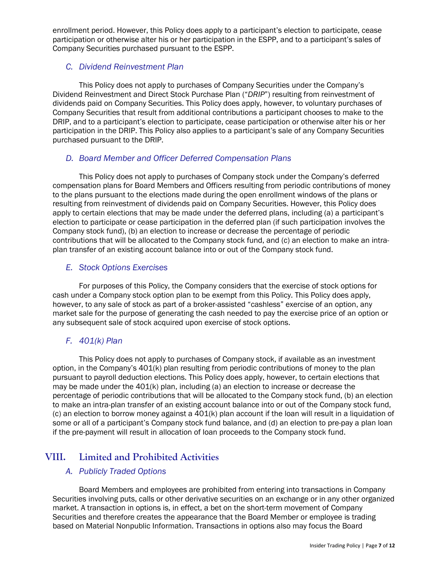enrollment period. However, this Policy does apply to a participant's election to participate, cease participation or otherwise alter his or her participation in the ESPP, and to a participant's sales of Company Securities purchased pursuant to the ESPP.

## *C. Dividend Reinvestment Plan*

This Policy does not apply to purchases of Company Securities under the Company's Dividend Reinvestment and Direct Stock Purchase Plan ("*DRIP*") resulting from reinvestment of dividends paid on Company Securities. This Policy does apply, however, to voluntary purchases of Company Securities that result from additional contributions a participant chooses to make to the DRIP, and to a participant's election to participate, cease participation or otherwise alter his or her participation in the DRIP. This Policy also applies to a participant's sale of any Company Securities purchased pursuant to the DRIP.

## *D. Board Member and Officer Deferred Compensation Plans*

This Policy does not apply to purchases of Company stock under the Company's deferred compensation plans for Board Members and Officers resulting from periodic contributions of money to the plans pursuant to the elections made during the open enrollment windows of the plans or resulting from reinvestment of dividends paid on Company Securities. However, this Policy does apply to certain elections that may be made under the deferred plans, including (a) a participant's election to participate or cease participation in the deferred plan (if such participation involves the Company stock fund), (b) an election to increase or decrease the percentage of periodic contributions that will be allocated to the Company stock fund, and (c) an election to make an intraplan transfer of an existing account balance into or out of the Company stock fund.

## *E. Stock Options Exercises*

For purposes of this Policy, the Company considers that the exercise of stock options for cash under a Company stock option plan to be exempt from this Policy. This Policy does apply, however, to any sale of stock as part of a broker-assisted "cashless" exercise of an option, any market sale for the purpose of generating the cash needed to pay the exercise price of an option or any subsequent sale of stock acquired upon exercise of stock options.

## *F. 401(k) Plan*

This Policy does not apply to purchases of Company stock, if available as an investment option, in the Company's 401(k) plan resulting from periodic contributions of money to the plan pursuant to payroll deduction elections. This Policy does apply, however, to certain elections that may be made under the 401(k) plan, including (a) an election to increase or decrease the percentage of periodic contributions that will be allocated to the Company stock fund, (b) an election to make an intra-plan transfer of an existing account balance into or out of the Company stock fund, (c) an election to borrow money against a 401(k) plan account if the loan will result in a liquidation of some or all of a participant's Company stock fund balance, and (d) an election to pre-pay a plan loan if the pre-payment will result in allocation of loan proceeds to the Company stock fund.

# **VIII. Limited and Prohibited Activities**

## *A. Publicly Traded Options*

Board Members and employees are prohibited from entering into transactions in Company Securities involving puts, calls or other derivative securities on an exchange or in any other organized market. A transaction in options is, in effect, a bet on the short-term movement of Company Securities and therefore creates the appearance that the Board Member or employee is trading based on Material Nonpublic Information. Transactions in options also may focus the Board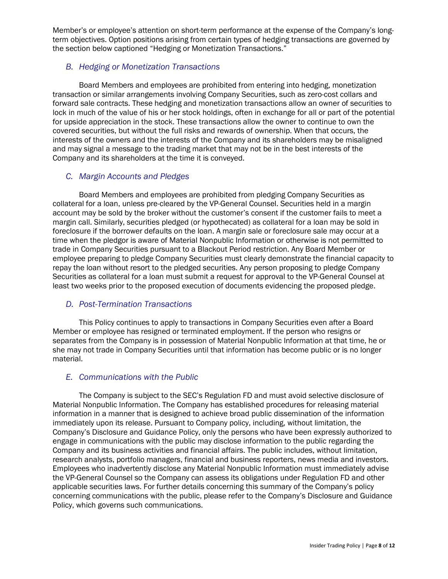Member's or employee's attention on short-term performance at the expense of the Company's longterm objectives. Option positions arising from certain types of hedging transactions are governed by the section below captioned "Hedging or Monetization Transactions."

## *B. Hedging or Monetization Transactions*

Board Members and employees are prohibited from entering into hedging, monetization transaction or similar arrangements involving Company Securities, such as zero-cost collars and forward sale contracts. These hedging and monetization transactions allow an owner of securities to lock in much of the value of his or her stock holdings, often in exchange for all or part of the potential for upside appreciation in the stock. These transactions allow the owner to continue to own the covered securities, but without the full risks and rewards of ownership. When that occurs, the interests of the owners and the interests of the Company and its shareholders may be misaligned and may signal a message to the trading market that may not be in the best interests of the Company and its shareholders at the time it is conveyed.

## *C. Margin Accounts and Pledges*

Board Members and employees are prohibited from pledging Company Securities as collateral for a loan, unless pre-cleared by the VP-General Counsel. Securities held in a margin account may be sold by the broker without the customer's consent if the customer fails to meet a margin call. Similarly, securities pledged (or hypothecated) as collateral for a loan may be sold in foreclosure if the borrower defaults on the loan. A margin sale or foreclosure sale may occur at a time when the pledgor is aware of Material Nonpublic Information or otherwise is not permitted to trade in Company Securities pursuant to a Blackout Period restriction. Any Board Member or employee preparing to pledge Company Securities must clearly demonstrate the financial capacity to repay the loan without resort to the pledged securities. Any person proposing to pledge Company Securities as collateral for a loan must submit a request for approval to the VP-General Counsel at least two weeks prior to the proposed execution of documents evidencing the proposed pledge.

## *D. Post-Termination Transactions*

This Policy continues to apply to transactions in Company Securities even after a Board Member or employee has resigned or terminated employment. If the person who resigns or separates from the Company is in possession of Material Nonpublic Information at that time, he or she may not trade in Company Securities until that information has become public or is no longer material.

## *E. Communications with the Public*

The Company is subject to the SEC's Regulation FD and must avoid selective disclosure of Material Nonpublic Information. The Company has established procedures for releasing material information in a manner that is designed to achieve broad public dissemination of the information immediately upon its release. Pursuant to Company policy, including, without limitation, the Company's Disclosure and Guidance Policy, only the persons who have been expressly authorized to engage in communications with the public may disclose information to the public regarding the Company and its business activities and financial affairs. The public includes, without limitation, research analysts, portfolio managers, financial and business reporters, news media and investors. Employees who inadvertently disclose any Material Nonpublic Information must immediately advise the VP-General Counsel so the Company can assess its obligations under Regulation FD and other applicable securities laws. For further details concerning this summary of the Company's policy concerning communications with the public, please refer to the Company's Disclosure and Guidance Policy, which governs such communications.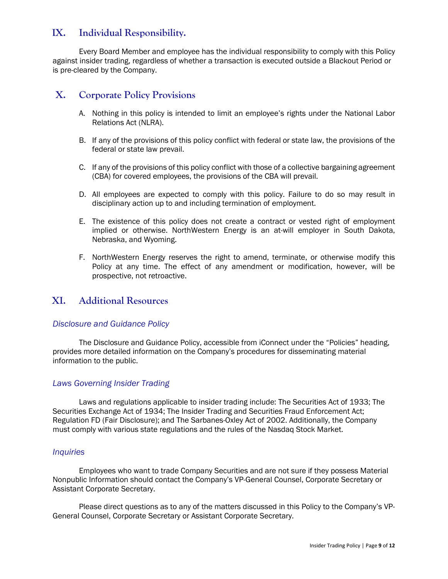# **IX. Individual Responsibility.**

Every Board Member and employee has the individual responsibility to comply with this Policy against insider trading, regardless of whether a transaction is executed outside a Blackout Period or is pre-cleared by the Company.

## **X. Corporate Policy Provisions**

- A. Nothing in this policy is intended to limit an employee's rights under the National Labor Relations Act (NLRA).
- B. If any of the provisions of this policy conflict with federal or state law, the provisions of the federal or state law prevail.
- C. If any of the provisions of this policy conflict with those of a collective bargaining agreement (CBA) for covered employees, the provisions of the CBA will prevail.
- D. All employees are expected to comply with this policy. Failure to do so may result in disciplinary action up to and including termination of employment.
- E. The existence of this policy does not create a contract or vested right of employment implied or otherwise. NorthWestern Energy is an at-will employer in South Dakota, Nebraska, and Wyoming.
- F. NorthWestern Energy reserves the right to amend, terminate, or otherwise modify this Policy at any time. The effect of any amendment or modification, however, will be prospective, not retroactive.

## **XI. Additional Resources**

#### *Disclosure and Guidance Policy*

The Disclosure and Guidance Policy, accessible from iConnect under the "Policies" heading, provides more detailed information on the Company's procedures for disseminating material information to the public.

## *Laws Governing Insider Trading*

Laws and regulations applicable to insider trading include: The Securities Act of 1933; The Securities Exchange Act of 1934; The Insider Trading and Securities Fraud Enforcement Act; Regulation FD (Fair Disclosure); and The Sarbanes-Oxley Act of 2002. Additionally, the Company must comply with various state regulations and the rules of the Nasdaq Stock Market.

#### *Inquiries*

Employees who want to trade Company Securities and are not sure if they possess Material Nonpublic Information should contact the Company's VP-General Counsel, Corporate Secretary or Assistant Corporate Secretary.

Please direct questions as to any of the matters discussed in this Policy to the Company's VP-General Counsel, Corporate Secretary or Assistant Corporate Secretary.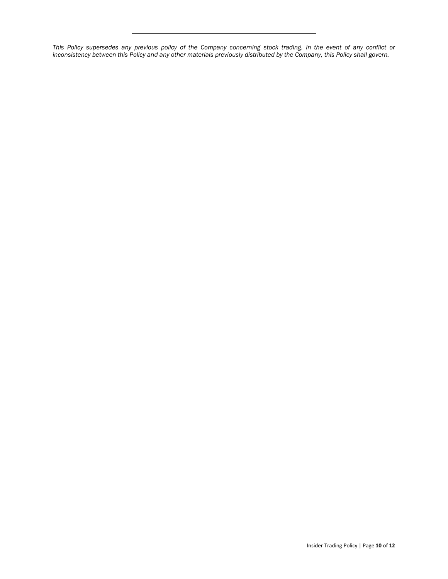*This Policy supersedes any previous policy of the Company concerning stock trading. In the event of any conflict or inconsistency between this Policy and any other materials previously distributed by the Company, this Policy shall govern.*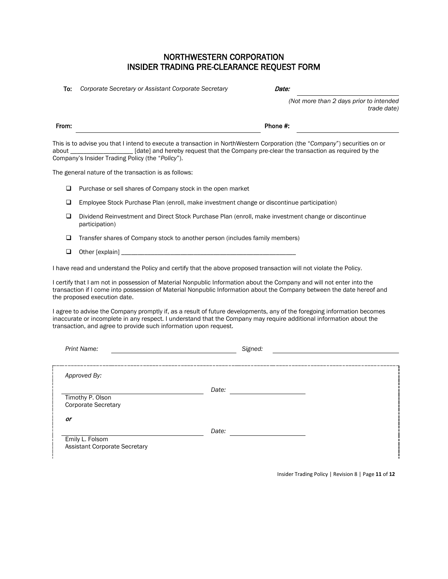## NORTHWESTERN CORPORATION INSIDER TRADING PRE-CLEARANCE REQUEST FORM

To: *Corporate Secretary or Assistant Corporate Secretary* Date:

*(Not more than 2 days prior to intended trade date)*

This is to advise you that I intend to execute a transaction in NorthWestern Corporation (the "*Company*") securities on or about \_\_\_\_\_\_\_\_\_\_\_\_\_\_\_\_\_\_\_ [date] and hereby request that the Company pre-clear the transaction as required by the Company's Insider Trading Policy (the "*Policy*").

The general nature of the transaction is as follows:

□ Purchase or sell shares of Company stock in the open market

- Employee Stock Purchase Plan (enroll, make investment change or discontinue participation)
- Dividend Reinvestment and Direct Stock Purchase Plan (enroll, make investment change or discontinue participation)
- $\Box$  Transfer shares of Company stock to another person (includes family members)
- $\Box$  Other [explain] \_\_\_\_\_\_

I have read and understand the Policy and certify that the above proposed transaction will not violate the Policy.

I certify that I am not in possession of Material Nonpublic Information about the Company and will not enter into the transaction if I come into possession of Material Nonpublic Information about the Company between the date hereof and the proposed execution date.

I agree to advise the Company promptly if, as a result of future developments, any of the foregoing information becomes inaccurate or incomplete in any respect. I understand that the Company may require additional information about the transaction, and agree to provide such information upon request.

| Print Name:                                             | Signed: |
|---------------------------------------------------------|---------|
| Approved By:                                            |         |
| Timothy P. Olson<br><b>Corporate Secretary</b>          | Date:   |
| or                                                      | Date:   |
| Emily L. Folsom<br><b>Assistant Corporate Secretary</b> |         |

Insider Trading Policy | Revision 8 | Page **11** of **12**